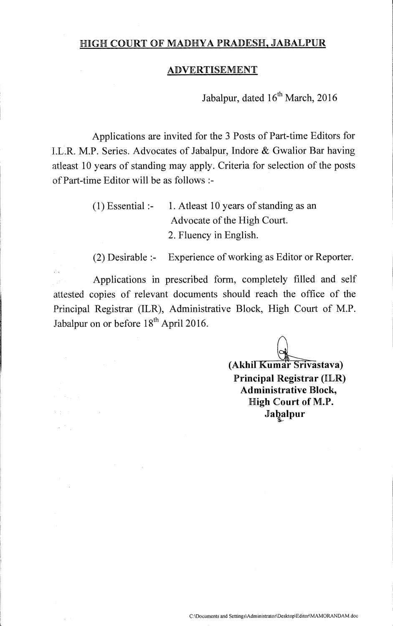## HIGH COURT OF MADHYA PRADESH, JABALPUR

### ADVERTISEMENT

Jabalpur, dated  $16^{th}$  March, 2016

Applications are invited for the 3 Posts of Part-time Editors for I.L.R. M.P. Series. Advocates of Jabalpur, Indore & Gwalior Bar having atleast 10 years of standing may apply. Criteria for selection of the posts **of** Part-time Editor will be as follows

> (1) Essential :- 1. Atleast 10 years of standing as an Advocate of the High Court. 2. Fluency in English.

(2) Desirable :- Experience of working as Editor or Reporter.

Applications in prescribed form, completely filled and self attested copies of relevant documents should reach the office of the Principal Registrar (ILR), Administrative Block, High Court of M.P. Jabalpur on or before  $18<sup>th</sup>$  April 2016.

 $\sim$ 

 $\mathcal{O}(\frac{1}{2} \log \frac{1}{2})$  ,  $\mathcal{O}(\frac{1}{2} \log \frac{1}{2})$ 

**(Akhil Kumar Srivastava) Principal Registrar (ILR)**  Administrative Block, **High Court of M.P. Jabalpur s-**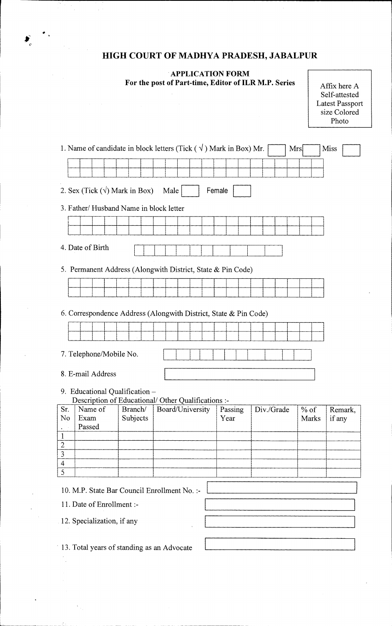# **HIGH COURT OF MADHYA PRADESH, JABALPUR**

**APPLICATION FORM** 

J.

For the post of Part-time, Editor of ILR M.P. Series

| Affix here A           |
|------------------------|
| Self-attested          |
| <b>Latest Passport</b> |
| size Colored           |
| Photo                  |
|                        |

|                                                         |                                |          | 1. Name of candidate in block letters (Tick $(\sqrt{})$ ) Mark in Box) Mr. |         |            | Mrs.   | <b>Miss</b> |  |
|---------------------------------------------------------|--------------------------------|----------|----------------------------------------------------------------------------|---------|------------|--------|-------------|--|
|                                                         |                                |          |                                                                            |         |            |        |             |  |
|                                                         |                                |          |                                                                            |         |            |        |             |  |
| 2. Sex (Tick $(\sqrt{})$ Mark in Box)<br>Male<br>Female |                                |          |                                                                            |         |            |        |             |  |
| 3. Father/ Husband Name in block letter                 |                                |          |                                                                            |         |            |        |             |  |
|                                                         |                                |          |                                                                            |         |            |        |             |  |
|                                                         |                                |          |                                                                            |         |            |        |             |  |
|                                                         | 4. Date of Birth               |          |                                                                            |         |            |        |             |  |
|                                                         |                                |          | 5. Permanent Address (Alongwith District, State & Pin Code)                |         |            |        |             |  |
|                                                         |                                |          |                                                                            |         |            |        |             |  |
|                                                         |                                |          |                                                                            |         |            |        |             |  |
|                                                         |                                |          |                                                                            |         |            |        |             |  |
|                                                         |                                |          | 6. Correspondence Address (Alongwith District, State & Pin Code)           |         |            |        |             |  |
|                                                         |                                |          |                                                                            |         |            |        |             |  |
|                                                         |                                |          |                                                                            |         |            |        |             |  |
|                                                         | 7. Telephone/Mobile No.        |          |                                                                            |         |            |        |             |  |
| 8. E-mail Address                                       |                                |          |                                                                            |         |            |        |             |  |
|                                                         |                                |          |                                                                            |         |            |        |             |  |
|                                                         | 9. Educational Qualification - |          | Description of Educational/ Other Qualifications :-                        |         |            |        |             |  |
| Sr.                                                     | Name of                        | Branch/  | Board/University                                                           | Passing | Div./Grade | $%$ of | Remark,     |  |
| N <sub>o</sub>                                          | Exam<br>Passed                 | Subjects |                                                                            | Year    |            | Marks  | if any      |  |
| 1                                                       |                                |          |                                                                            |         |            |        |             |  |
| $\overline{2}$                                          |                                |          |                                                                            |         |            |        |             |  |
| $\overline{3}$                                          |                                |          |                                                                            |         |            |        |             |  |
| $\overline{4}$<br>$\overline{5}$                        |                                |          |                                                                            |         |            |        |             |  |
|                                                         |                                |          |                                                                            |         |            |        |             |  |
|                                                         |                                |          | 10. M.P. State Bar Council Enrollment No. :-                               |         |            |        |             |  |
|                                                         | 11. Date of Enrollment :-      |          |                                                                            |         |            |        |             |  |
|                                                         | 12. Specialization, if any     |          |                                                                            |         |            |        |             |  |
|                                                         |                                |          |                                                                            |         |            |        |             |  |
| 13. Total years of standing as an Advocate              |                                |          |                                                                            |         |            |        |             |  |
|                                                         |                                |          |                                                                            |         |            |        |             |  |
|                                                         |                                |          |                                                                            |         |            |        |             |  |